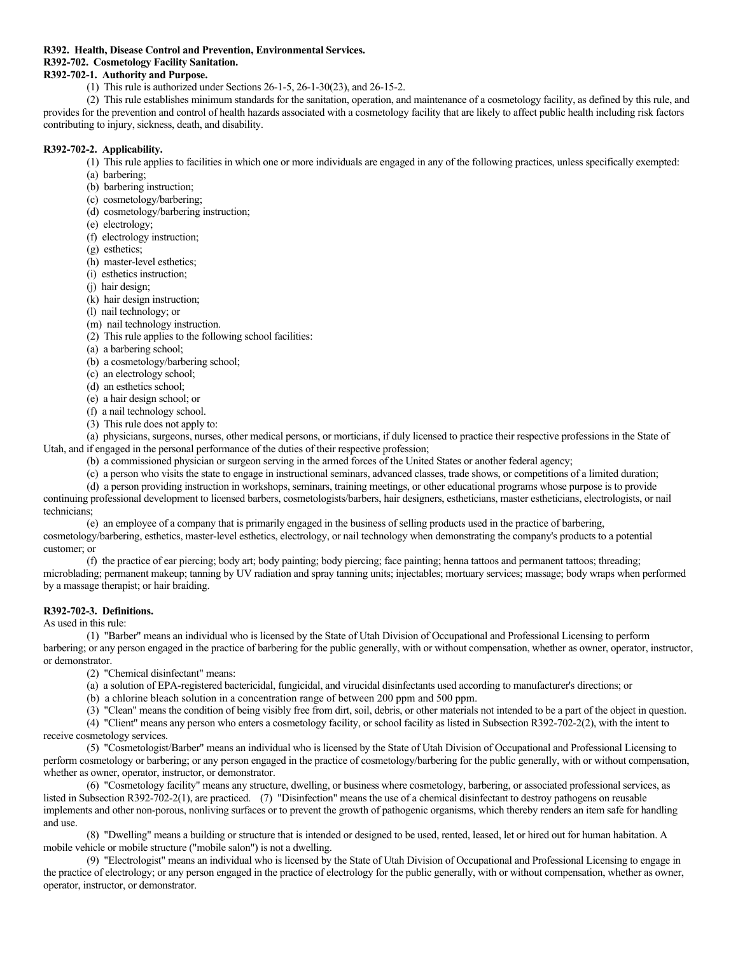# **R392. Health, Disease Control and Prevention, Environmental Services.**

# **R392-702. Cosmetology Facility Sanitation.**

# **R392-702-1. Authority and Purpose.**

(1) This rule is authorized under Sections 26-1-5, 26-1-30(23), and 26-15-2.

(2) This rule establishes minimum standards for the sanitation, operation, and maintenance of a cosmetology facility, as defined by this rule, and provides for the prevention and control of health hazards associated with a cosmetology facility that are likely to affect public health including risk factors contributing to injury, sickness, death, and disability.

# **R392-702-2. Applicability.**

- (1) This rule applies to facilities in which one or more individuals are engaged in any of the following practices, unless specifically exempted:
- (a) barbering;
- (b) barbering instruction;
- (c) cosmetology/barbering;
- (d) cosmetology/barbering instruction;
- (e) electrology;
- (f) electrology instruction;
- (g) esthetics;
- (h) master-level esthetics;
- (i) esthetics instruction;
- (j) hair design;
- (k) hair design instruction;
- (l) nail technology; or
- (m) nail technology instruction.
- (2) This rule applies to the following school facilities:
- (a) a barbering school;
- (b) a cosmetology/barbering school;
- (c) an electrology school;
- (d) an esthetics school;
- (e) a hair design school; or
- (f) a nail technology school.
- (3) This rule does not apply to:

(a) physicians, surgeons, nurses, other medical persons, or morticians, if duly licensed to practice their respective professions in the State of Utah, and if engaged in the personal performance of the duties of their respective profession;

- (b) a commissioned physician or surgeon serving in the armed forces of the United States or another federal agency;
- (c) a person who visits the state to engage in instructional seminars, advanced classes, trade shows, or competitions of a limited duration;

(d) a person providing instruction in workshops, seminars, training meetings, or other educational programs whose purpose is to provide continuing professional development to licensed barbers, cosmetologists/barbers, hair designers, estheticians, master estheticians, electrologists, or nail technicians;

(e) an employee of a company that is primarily engaged in the business of selling products used in the practice of barbering, cosmetology/barbering, esthetics, master-level esthetics, electrology, or nail technology when demonstrating the company's products to a potential customer; or

(f) the practice of ear piercing; body art; body painting; body piercing; face painting; henna tattoos and permanent tattoos; threading; microblading; permanent makeup; tanning by UV radiation and spray tanning units; injectables; mortuary services; massage; body wraps when performed by a massage therapist; or hair braiding.

# **R392-702-3. Definitions.**

As used in this rule:

(1) "Barber" means an individual who is licensed by the State of Utah Division of Occupational and Professional Licensing to perform barbering; or any person engaged in the practice of barbering for the public generally, with or without compensation, whether as owner, operator, instructor, or demonstrator.

- (2) "Chemical disinfectant" means:
- (a) a solution of EPA-registered bactericidal, fungicidal, and virucidal disinfectants used according to manufacturer's directions; or
- (b) a chlorine bleach solution in a concentration range of between 200 ppm and 500 ppm.

(3) "Clean" means the condition of being visibly free from dirt, soil, debris, or other materials not intended to be a part of the object in question. (4) "Client" means any person who enters a cosmetology facility, or school facility as listed in Subsection R392-702-2(2), with the intent to

receive cosmetology services.

(5) "Cosmetologist/Barber" means an individual who is licensed by the State of Utah Division of Occupational and Professional Licensing to perform cosmetology or barbering; or any person engaged in the practice of cosmetology/barbering for the public generally, with or without compensation, whether as owner, operator, instructor, or demonstrator.

(6) "Cosmetology facility" means any structure, dwelling, or business where cosmetology, barbering, or associated professional services, as listed in Subsection R392-702-2(1), are practiced. (7) "Disinfection" means the use of a chemical disinfectant to destroy pathogens on reusable implements and other non-porous, nonliving surfaces or to prevent the growth of pathogenic organisms, which thereby renders an item safe for handling and use.

(8) "Dwelling" means a building or structure that is intended or designed to be used, rented, leased, let or hired out for human habitation. A mobile vehicle or mobile structure ("mobile salon") is not a dwelling.

(9) "Electrologist" means an individual who is licensed by the State of Utah Division of Occupational and Professional Licensing to engage in the practice of electrology; or any person engaged in the practice of electrology for the public generally, with or without compensation, whether as owner, operator, instructor, or demonstrator.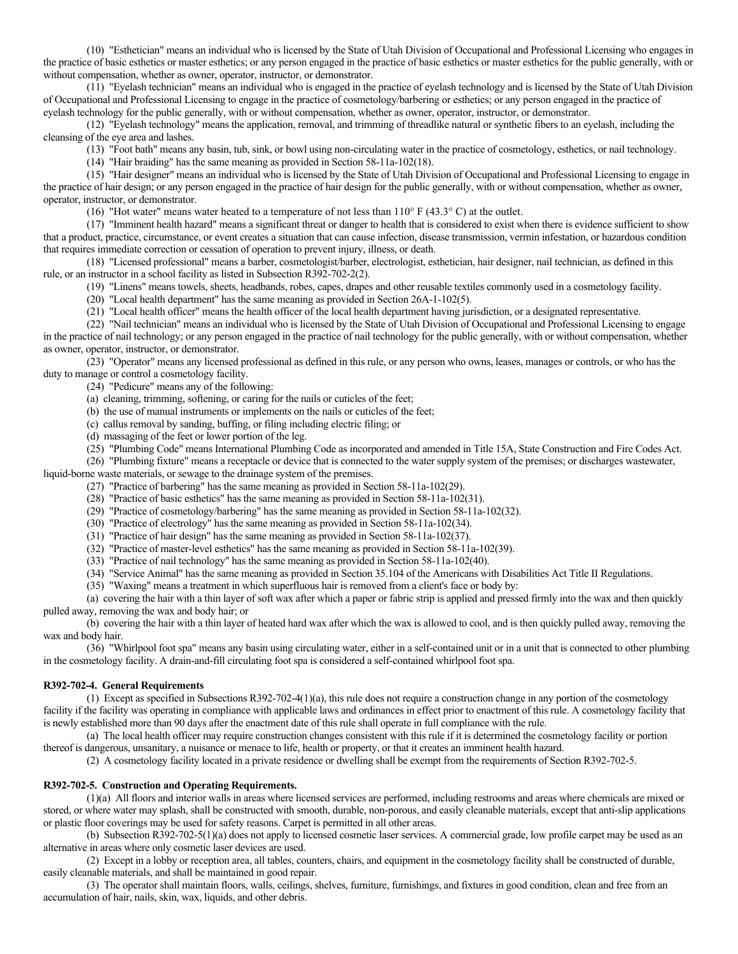(10) "Esthetician" means an individual who is licensed by the State of Utah Division of Occupational and Professional Licensing who engages in the practice of basic esthetics or master esthetics; or any person engaged in the practice of basic esthetics or master esthetics for the public generally, with or without compensation, whether as owner, operator, instructor, or demonstrator.

(11) "Eyelash technician" means an individual who is engaged in the practice of eyelash technology and is licensed by the State of Utah Division of Occupational and Professional Licensing to engage in the practice of cosmetology/barbering or esthetics; or any person engaged in the practice of eyelash technology for the public generally, with or without compensation, whether as owner, operator, instructor, or demonstrator.

(12) "Eyelash technology" means the application, removal, and trimming of threadlike natural or synthetic fibers to an eyelash, including the cleansing of the eye area and lashes.

(13) "Foot bath" means any basin, tub, sink, or bowl using non-circulating water in the practice of cosmetology, esthetics, or nail technology.

(14) "Hair braiding" has the same meaning as provided in Section 58-11a-102(18).

(15) "Hair designer" means an individual who is licensed by the State of Utah Division of Occupational and Professional Licensing to engage in the practice of hair design; or any person engaged in the practice of hair design for the public generally, with or without compensation, whether as owner, operator, instructor, or demonstrator.

(16) "Hot water" means water heated to a temperature of not less than 110° F (43.3° C) at the outlet.

(17) "Imminent health hazard" means a significant threat or danger to health that is considered to exist when there is evidence sufficient to show that a product, practice, circumstance, or event creates a situation that can cause infection, disease transmission, vermin infestation, or hazardous condition that requires immediate correction or cessation of operation to prevent injury, illness, or death.

(18) "Licensed professional" means a barber, cosmetologist/barber, electrologist, esthetician, hair designer, nail technician, as defined in this rule, or an instructor in a school facility as listed in Subsection R392-702-2(2).

(19) "Linens" means towels, sheets, headbands, robes, capes, drapes and other reusable textiles commonly used in a cosmetology facility.

(20) "Local health department" has the same meaning as provided in Section 26A-1-102(5).

(21) "Local health officer" means the health officer of the local health department having jurisdiction, or a designated representative.

(22) "Nail technician" means an individual who is licensed by the State of Utah Division of Occupational and Professional Licensing to engage in the practice of nail technology; or any person engaged in the practice of nail technology for the public generally, with or without compensation, whether as owner, operator, instructor, or demonstrator.

(23) "Operator" means any licensed professional as defined in this rule, or any person who owns, leases, manages or controls, or who has the duty to manage or control a cosmetology facility.

(24) "Pedicure" means any of the following:

(a) cleaning, trimming, softening, or caring for the nails or cuticles of the feet;

(b) the use of manual instruments or implements on the nails or cuticles of the feet;

(c) callus removal by sanding, buffing, or filing including electric filing; or

(d) massaging of the feet or lower portion of the leg.

(25) "Plumbing Code" means International Plumbing Code as incorporated and amended in Title 15A, State Construction and Fire Codes Act.

(26) "Plumbing fixture" means a receptacle or device that is connected to the water supply system of the premises; or discharges wastewater, liquid-borne waste materials, or sewage to the drainage system of the premises.

(27) "Practice of barbering" has the same meaning as provided in Section 58-11a-102(29).

- (28) "Practice of basic esthetics" has the same meaning as provided in Section 58-11a-102(31).
- (29) "Practice of cosmetology/barbering" has the same meaning as provided in Section 58-11a-102(32).
- (30) "Practice of electrology" has the same meaning as provided in Section 58-11a-102(34).

(31) "Practice of hair design" has the same meaning as provided in Section 58-11a-102(37).

(32) "Practice of master-level esthetics" has the same meaning as provided in Section 58-11a-102(39).

(33) "Practice of nail technology" has the same meaning as provided in Section 58-11a-102(40).

- (34) "Service Animal" has the same meaning as provided in Section 35.104 of the Americans with Disabilities Act Title II Regulations.
- (35) "Waxing" means a treatment in which superfluous hair is removed from a client's face or body by:

(a) covering the hair with a thin layer of soft wax after which a paper or fabric strip is applied and pressed firmly into the wax and then quickly pulled away, removing the wax and body hair; or

(b) covering the hair with a thin layer of heated hard wax after which the wax is allowed to cool, and is then quickly pulled away, removing the wax and body hair.

(36) "Whirlpool foot spa" means any basin using circulating water, either in a self-contained unit or in a unit that is connected to other plumbing in the cosmetology facility. A drain-and-fill circulating foot spa is considered a self-contained whirlpool foot spa.

### **R392-702-4. General Requirements**

(1) Except as specified in Subsections R392-702-4(1)(a), this rule does not require a construction change in any portion of the cosmetology facility if the facility was operating in compliance with applicable laws and ordinances in effect prior to enactment of this rule. A cosmetology facility that is newly established more than 90 days after the enactment date of this rule shall operate in full compliance with the rule.

(a) The local health officer may require construction changes consistent with this rule if it is determined the cosmetology facility or portion thereof is dangerous, unsanitary, a nuisance or menace to life, health or property, or that it creates an imminent health hazard.

(2) A cosmetology facility located in a private residence or dwelling shall be exempt from the requirements of Section R392-702-5.

### **R392-702-5. Construction and Operating Requirements.**

(1)(a) All floors and interior walls in areas where licensed services are performed, including restrooms and areas where chemicals are mixed or stored, or where water may splash, shall be constructed with smooth, durable, non-porous, and easily cleanable materials, except that anti-slip applications or plastic floor coverings may be used for safety reasons. Carpet is permitted in all other areas.

(b) Subsection R392-702-5(1)(a) does not apply to licensed cosmetic laser services. A commercial grade, low profile carpet may be used as an alternative in areas where only cosmetic laser devices are used.

(2) Except in a lobby or reception area, all tables, counters, chairs, and equipment in the cosmetology facility shall be constructed of durable, easily cleanable materials, and shall be maintained in good repair.

(3) The operator shall maintain floors, walls, ceilings, shelves, furniture, furnishings, and fixtures in good condition, clean and free from an accumulation of hair, nails, skin, wax, liquids, and other debris.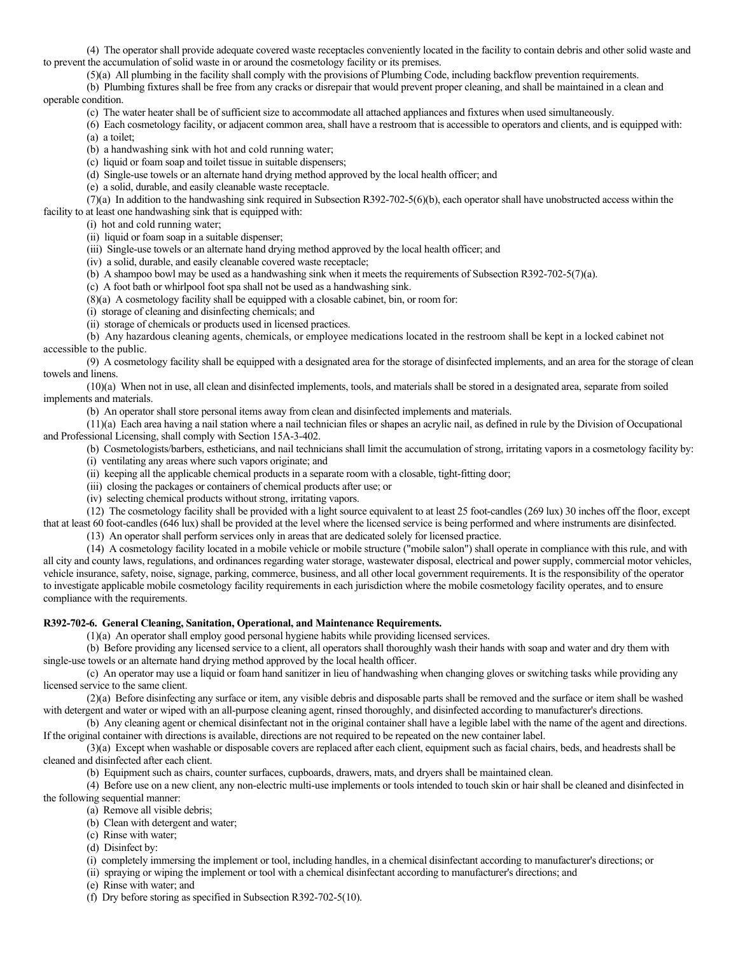(4) The operator shall provide adequate covered waste receptacles conveniently located in the facility to contain debris and other solid waste and to prevent the accumulation of solid waste in or around the cosmetology facility or its premises.

(5)(a) All plumbing in the facility shall comply with the provisions of Plumbing Code, including backflow prevention requirements.

(b) Plumbing fixtures shall be free from any cracks or disrepair that would prevent proper cleaning, and shall be maintained in a clean and operable condition.

(c) The water heater shall be of sufficient size to accommodate all attached appliances and fixtures when used simultaneously.

(6) Each cosmetology facility, or adjacent common area, shall have a restroom that is accessible to operators and clients, and is equipped with: (a) a toilet;

(b) a handwashing sink with hot and cold running water;

(c) liquid or foam soap and toilet tissue in suitable dispensers;

(d) Single-use towels or an alternate hand drying method approved by the local health officer; and

(e) a solid, durable, and easily cleanable waste receptacle.

(7)(a) In addition to the handwashing sink required in Subsection R392-702-5(6)(b), each operator shall have unobstructed access within the facility to at least one handwashing sink that is equipped with:

(i) hot and cold running water;

(ii) liquid or foam soap in a suitable dispenser;

(iii) Single-use towels or an alternate hand drying method approved by the local health officer; and

(iv) a solid, durable, and easily cleanable covered waste receptacle;

(b) A shampoo bowl may be used as a handwashing sink when it meets the requirements of Subsection R392-702-5(7)(a).

(c) A foot bath or whirlpool foot spa shall not be used as a handwashing sink.

(8)(a) A cosmetology facility shall be equipped with a closable cabinet, bin, or room for:

(i) storage of cleaning and disinfecting chemicals; and

(ii) storage of chemicals or products used in licensed practices.

(b) Any hazardous cleaning agents, chemicals, or employee medications located in the restroom shall be kept in a locked cabinet not accessible to the public.

(9) A cosmetology facility shall be equipped with a designated area for the storage of disinfected implements, and an area for the storage of clean towels and linens.

(10)(a) When not in use, all clean and disinfected implements, tools, and materials shall be stored in a designated area, separate from soiled implements and materials.

(b) An operator shall store personal items away from clean and disinfected implements and materials.

(11)(a) Each area having a nail station where a nail technician files or shapes an acrylic nail, as defined in rule by the Division of Occupational and Professional Licensing, shall comply with Section 15A-3-402.

(b) Cosmetologists/barbers, estheticians, and nail technicians shall limit the accumulation of strong, irritating vapors in a cosmetology facility by:

(i) ventilating any areas where such vapors originate; and

(ii) keeping all the applicable chemical products in a separate room with a closable, tight-fitting door;

(iii) closing the packages or containers of chemical products after use; or

(iv) selecting chemical products without strong, irritating vapors.

(12) The cosmetology facility shall be provided with a light source equivalent to at least 25 foot-candles (269 lux) 30 inches off the floor, except that at least 60 foot-candles (646 lux) shall be provided at the level where the licensed service is being performed and where instruments are disinfected.

(13) An operator shall perform services only in areas that are dedicated solely for licensed practice.

(14) A cosmetology facility located in a mobile vehicle or mobile structure ("mobile salon") shall operate in compliance with this rule, and with all city and county laws, regulations, and ordinances regarding water storage, wastewater disposal, electrical and power supply, commercial motor vehicles, vehicle insurance, safety, noise, signage, parking, commerce, business, and all other local government requirements. It is the responsibility of the operator to investigate applicable mobile cosmetology facility requirements in each jurisdiction where the mobile cosmetology facility operates, and to ensure compliance with the requirements.

# **R392-702-6. General Cleaning, Sanitation, Operational, and Maintenance Requirements.**

(1)(a) An operator shall employ good personal hygiene habits while providing licensed services.

(b) Before providing any licensed service to a client, all operators shall thoroughly wash their hands with soap and water and dry them with single-use towels or an alternate hand drying method approved by the local health officer.

(c) An operator may use a liquid or foam hand sanitizer in lieu of handwashing when changing gloves or switching tasks while providing any licensed service to the same client.

(2)(a) Before disinfecting any surface or item, any visible debris and disposable parts shall be removed and the surface or item shall be washed with detergent and water or wiped with an all-purpose cleaning agent, rinsed thoroughly, and disinfected according to manufacturer's directions.

(b) Any cleaning agent or chemical disinfectant not in the original container shall have a legible label with the name of the agent and directions. If the original container with directions is available, directions are not required to be repeated on the new container label.

(3)(a) Except when washable or disposable covers are replaced after each client, equipment such as facial chairs, beds, and headrests shall be cleaned and disinfected after each client.

(b) Equipment such as chairs, counter surfaces, cupboards, drawers, mats, and dryers shall be maintained clean.

(4) Before use on a new client, any non-electric multi-use implements or tools intended to touch skin or hair shall be cleaned and disinfected in the following sequential manner:

(a) Remove all visible debris;

(b) Clean with detergent and water;

(c) Rinse with water;

(d) Disinfect by:

(i) completely immersing the implement or tool, including handles, in a chemical disinfectant according to manufacturer's directions; or

(ii) spraying or wiping the implement or tool with a chemical disinfectant according to manufacturer's directions; and

(e) Rinse with water; and

(f) Dry before storing as specified in Subsection R392-702-5(10).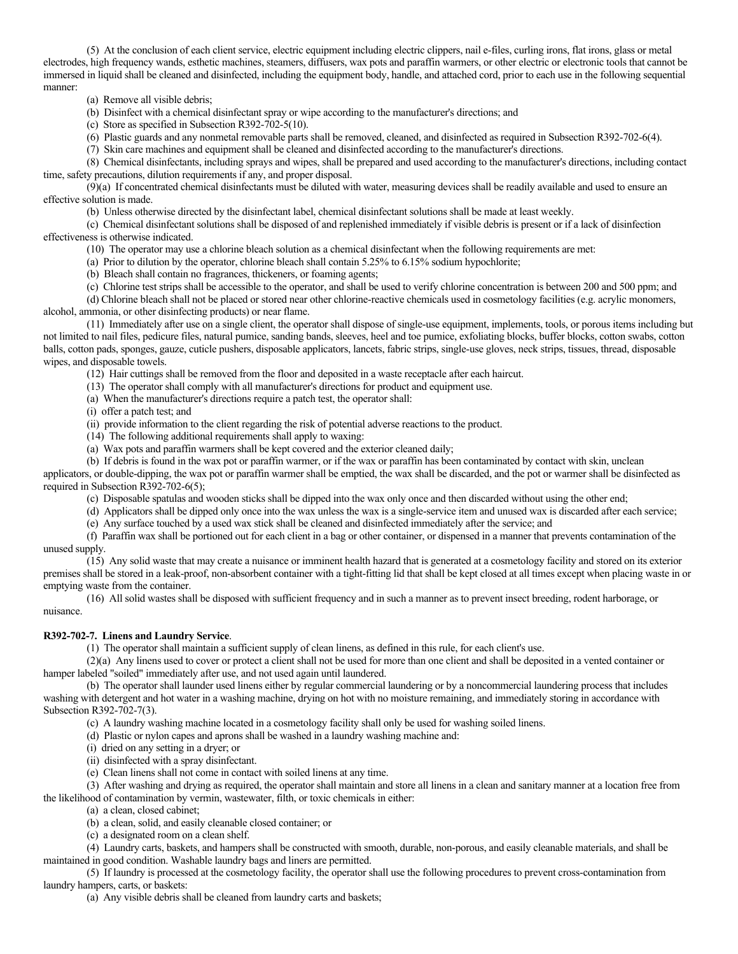(5) At the conclusion of each client service, electric equipment including electric clippers, nail e-files, curling irons, flat irons, glass or metal electrodes, high frequency wands, esthetic machines, steamers, diffusers, wax pots and paraffin warmers, or other electric or electronic tools that cannot be immersed in liquid shall be cleaned and disinfected, including the equipment body, handle, and attached cord, prior to each use in the following sequential manner:

(a) Remove all visible debris;

(b) Disinfect with a chemical disinfectant spray or wipe according to the manufacturer's directions; and

(c) Store as specified in Subsection R392-702-5(10).

(6) Plastic guards and any nonmetal removable parts shall be removed, cleaned, and disinfected as required in Subsection R392-702-6(4).

(7) Skin care machines and equipment shall be cleaned and disinfected according to the manufacturer's directions.

(8) Chemical disinfectants, including sprays and wipes, shall be prepared and used according to the manufacturer's directions, including contact time, safety precautions, dilution requirements if any, and proper disposal.

(9)(a) If concentrated chemical disinfectants must be diluted with water, measuring devices shall be readily available and used to ensure an effective solution is made.

(b) Unless otherwise directed by the disinfectant label, chemical disinfectant solutions shall be made at least weekly.

(c) Chemical disinfectant solutions shall be disposed of and replenished immediately if visible debris is present or if a lack of disinfection effectiveness is otherwise indicated.

(10) The operator may use a chlorine bleach solution as a chemical disinfectant when the following requirements are met:

(a) Prior to dilution by the operator, chlorine bleach shall contain 5.25% to 6.15% sodium hypochlorite;

(b) Bleach shall contain no fragrances, thickeners, or foaming agents;

(c) Chlorine test strips shall be accessible to the operator, and shall be used to verify chlorine concentration is between 200 and 500 ppm; and

(d) Chlorine bleach shall not be placed or stored near other chlorine-reactive chemicals used in cosmetology facilities (e.g. acrylic monomers, alcohol, ammonia, or other disinfecting products) or near flame.

(11) Immediately after use on a single client, the operator shall dispose of single-use equipment, implements, tools, or porous items including but not limited to nail files, pedicure files, natural pumice, sanding bands, sleeves, heel and toe pumice, exfoliating blocks, buffer blocks, cotton swabs, cotton balls, cotton pads, sponges, gauze, cuticle pushers, disposable applicators, lancets, fabric strips, single-use gloves, neck strips, tissues, thread, disposable wipes, and disposable towels.

(12) Hair cuttings shall be removed from the floor and deposited in a waste receptacle after each haircut.

(13) The operator shall comply with all manufacturer's directions for product and equipment use.

(a) When the manufacturer's directions require a patch test, the operator shall:

(i) offer a patch test; and

(ii) provide information to the client regarding the risk of potential adverse reactions to the product.

(14) The following additional requirements shall apply to waxing:

(a) Wax pots and paraffin warmers shall be kept covered and the exterior cleaned daily;

(b) If debris is found in the wax pot or paraffin warmer, or if the wax or paraffin has been contaminated by contact with skin, unclean applicators, or double-dipping, the wax pot or paraffin warmer shall be emptied, the wax shall be discarded, and the pot or warmer shall be disinfected as required in Subsection R392-702-6(5);

(c) Disposable spatulas and wooden sticks shall be dipped into the wax only once and then discarded without using the other end;

(d) Applicators shall be dipped only once into the wax unless the wax is a single-service item and unused wax is discarded after each service; (e) Any surface touched by a used wax stick shall be cleaned and disinfected immediately after the service; and

(f) Paraffin wax shall be portioned out for each client in a bag or other container, or dispensed in a manner that prevents contamination of the unused supply.

(15) Any solid waste that may create a nuisance or imminent health hazard that is generated at a cosmetology facility and stored on its exterior premises shall be stored in a leak-proof, non-absorbent container with a tight-fitting lid that shall be kept closed at all times except when placing waste in or emptying waste from the container.

(16) All solid wastes shall be disposed with sufficient frequency and in such a manner as to prevent insect breeding, rodent harborage, or nuisance.

### **R392-702-7. Linens and Laundry Service**.

(1) The operator shall maintain a sufficient supply of clean linens, as defined in this rule, for each client's use.

(2)(a) Any linens used to cover or protect a client shall not be used for more than one client and shall be deposited in a vented container or hamper labeled "soiled" immediately after use, and not used again until laundered.

(b) The operator shall launder used linens either by regular commercial laundering or by a noncommercial laundering process that includes washing with detergent and hot water in a washing machine, drying on hot with no moisture remaining, and immediately storing in accordance with Subsection R392-702-7(3).

(c) A laundry washing machine located in a cosmetology facility shall only be used for washing soiled linens.

(d) Plastic or nylon capes and aprons shall be washed in a laundry washing machine and:

(i) dried on any setting in a dryer; or

(ii) disinfected with a spray disinfectant.

(e) Clean linens shall not come in contact with soiled linens at any time.

(3) After washing and drying as required, the operator shall maintain and store all linens in a clean and sanitary manner at a location free from the likelihood of contamination by vermin, wastewater, filth, or toxic chemicals in either:

(a) a clean, closed cabinet;

(b) a clean, solid, and easily cleanable closed container; or

(c) a designated room on a clean shelf.

(4) Laundry carts, baskets, and hampers shall be constructed with smooth, durable, non-porous, and easily cleanable materials, and shall be maintained in good condition. Washable laundry bags and liners are permitted.

(5) If laundry is processed at the cosmetology facility, the operator shall use the following procedures to prevent cross-contamination from laundry hampers, carts, or baskets:

(a) Any visible debris shall be cleaned from laundry carts and baskets;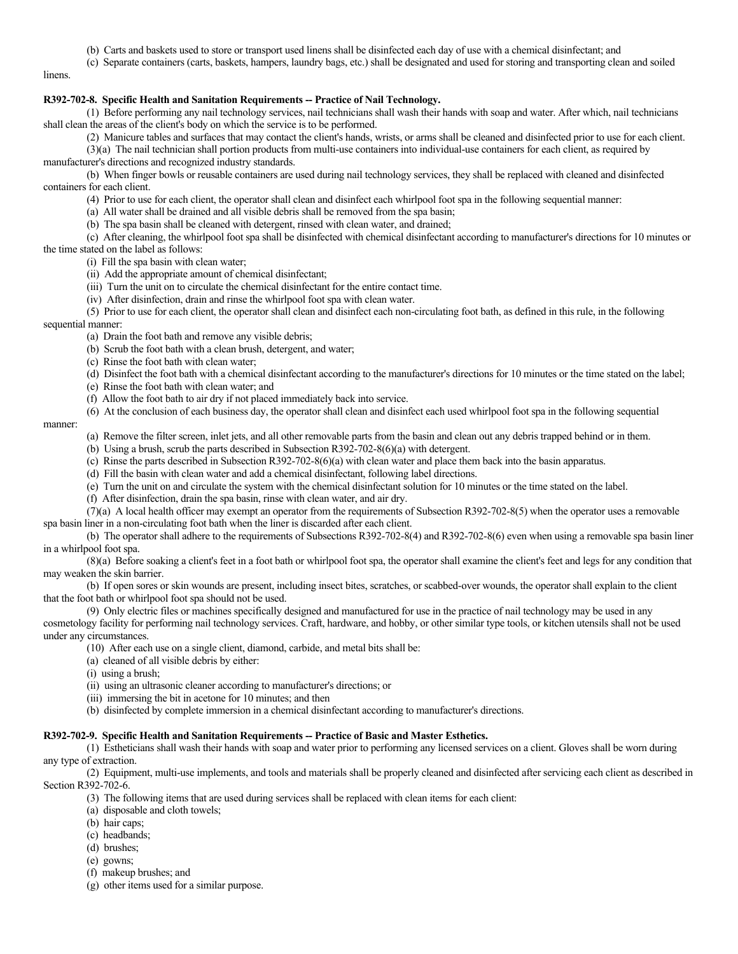- (b) Carts and baskets used to store or transport used linens shall be disinfected each day of use with a chemical disinfectant; and
- (c) Separate containers (carts, baskets, hampers, laundry bags, etc.) shall be designated and used for storing and transporting clean and soiled

linens.

# **R392-702-8. Specific Health and Sanitation Requirements -- Practice of Nail Technology.**

(1) Before performing any nail technology services, nail technicians shall wash their hands with soap and water. After which, nail technicians shall clean the areas of the client's body on which the service is to be performed.

(2) Manicure tables and surfaces that may contact the client's hands, wrists, or arms shall be cleaned and disinfected prior to use for each client.

(3)(a) The nail technician shall portion products from multi-use containers into individual-use containers for each client, as required by manufacturer's directions and recognized industry standards.

(b) When finger bowls or reusable containers are used during nail technology services, they shall be replaced with cleaned and disinfected containers for each client.

(4) Prior to use for each client, the operator shall clean and disinfect each whirlpool foot spa in the following sequential manner:

(a) All water shall be drained and all visible debris shall be removed from the spa basin;

(b) The spa basin shall be cleaned with detergent, rinsed with clean water, and drained;

(c) After cleaning, the whirlpool foot spa shall be disinfected with chemical disinfectant according to manufacturer's directions for 10 minutes or the time stated on the label as follows:

(i) Fill the spa basin with clean water;

(ii) Add the appropriate amount of chemical disinfectant;

(iii) Turn the unit on to circulate the chemical disinfectant for the entire contact time.

(iv) After disinfection, drain and rinse the whirlpool foot spa with clean water.

(5) Prior to use for each client, the operator shall clean and disinfect each non-circulating foot bath, as defined in this rule, in the following

# sequential manner:

- (a) Drain the foot bath and remove any visible debris;
- (b) Scrub the foot bath with a clean brush, detergent, and water;
- (c) Rinse the foot bath with clean water;
- (d) Disinfect the foot bath with a chemical disinfectant according to the manufacturer's directions for 10 minutes or the time stated on the label;
- (e) Rinse the foot bath with clean water; and
- (f) Allow the foot bath to air dry if not placed immediately back into service.
- (6) At the conclusion of each business day, the operator shall clean and disinfect each used whirlpool foot spa in the following sequential

#### manner:

- (a) Remove the filter screen, inlet jets, and all other removable parts from the basin and clean out any debris trapped behind or in them.
- (b) Using a brush, scrub the parts described in Subsection R392-702-8(6)(a) with detergent.
- (c) Rinse the parts described in Subsection R392-702-8(6)(a) with clean water and place them back into the basin apparatus.
- (d) Fill the basin with clean water and add a chemical disinfectant, following label directions.
- (e) Turn the unit on and circulate the system with the chemical disinfectant solution for 10 minutes or the time stated on the label.
- (f) After disinfection, drain the spa basin, rinse with clean water, and air dry.
- (7)(a) A local health officer may exempt an operator from the requirements of Subsection R392-702-8(5) when the operator uses a removable spa basin liner in a non-circulating foot bath when the liner is discarded after each client.

(b) The operator shall adhere to the requirements of Subsections R392-702-8(4) and R392-702-8(6) even when using a removable spa basin liner in a whirlpool foot spa.

(8)(a) Before soaking a client's feet in a foot bath or whirlpool foot spa, the operator shall examine the client's feet and legs for any condition that may weaken the skin barrier.

(b) If open sores or skin wounds are present, including insect bites, scratches, or scabbed-over wounds, the operator shall explain to the client that the foot bath or whirlpool foot spa should not be used.

(9) Only electric files or machines specifically designed and manufactured for use in the practice of nail technology may be used in any cosmetology facility for performing nail technology services. Craft, hardware, and hobby, or other similar type tools, or kitchen utensils shall not be used under any circumstances.

(10) After each use on a single client, diamond, carbide, and metal bits shall be:

- (a) cleaned of all visible debris by either:
- (i) using a brush;
- (ii) using an ultrasonic cleaner according to manufacturer's directions; or
- (iii) immersing the bit in acetone for 10 minutes; and then
- (b) disinfected by complete immersion in a chemical disinfectant according to manufacturer's directions.

## **R392-702-9. Specific Health and Sanitation Requirements -- Practice of Basic and Master Esthetics.**

(1) Estheticians shall wash their hands with soap and water prior to performing any licensed services on a client. Gloves shall be worn during any type of extraction.

(2) Equipment, multi-use implements, and tools and materials shall be properly cleaned and disinfected after servicing each client as described in Section R392-702-6.

- (3) The following items that are used during services shall be replaced with clean items for each client:
- (a) disposable and cloth towels;
- (b) hair caps;
- (c) headbands;
- (d) brushes;
- (e) gowns;
- (f) makeup brushes; and
- (g) other items used for a similar purpose.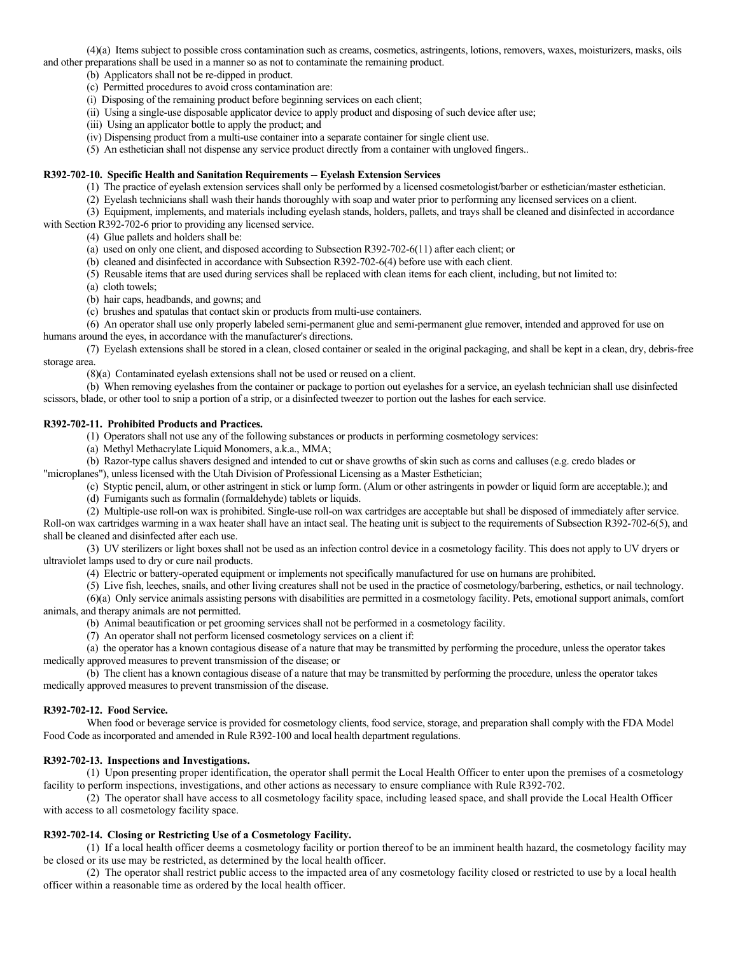(4)(a) Items subject to possible cross contamination such as creams, cosmetics, astringents, lotions, removers, waxes, moisturizers, masks, oils and other preparations shall be used in a manner so as not to contaminate the remaining product.

(b) Applicators shall not be re-dipped in product.

(c) Permitted procedures to avoid cross contamination are:

(i) Disposing of the remaining product before beginning services on each client;

(ii) Using a single-use disposable applicator device to apply product and disposing of such device after use;

(iii) Using an applicator bottle to apply the product; and

(iv) Dispensing product from a multi-use container into a separate container for single client use.

(5) An esthetician shall not dispense any service product directly from a container with ungloved fingers..

### **R392-702-10. Specific Health and Sanitation Requirements -- Eyelash Extension Services**

(1) The practice of eyelash extension services shall only be performed by a licensed cosmetologist/barber or esthetician/master esthetician.

(2) Eyelash technicians shall wash their hands thoroughly with soap and water prior to performing any licensed services on a client.

(3) Equipment, implements, and materials including eyelash stands, holders, pallets, and trays shall be cleaned and disinfected in accordance with Section R392-702-6 prior to providing any licensed service.

(4) Glue pallets and holders shall be:

(a) used on only one client, and disposed according to Subsection R392-702-6(11) after each client; or

- (b) cleaned and disinfected in accordance with Subsection R392-702-6(4) before use with each client.
- (5) Reusable items that are used during services shall be replaced with clean items for each client, including, but not limited to:

(a) cloth towels;

(b) hair caps, headbands, and gowns; and

(c) brushes and spatulas that contact skin or products from multi-use containers.

(6) An operator shall use only properly labeled semi-permanent glue and semi-permanent glue remover, intended and approved for use on humans around the eyes, in accordance with the manufacturer's directions.

(7) Eyelash extensions shall be stored in a clean, closed container or sealed in the original packaging, and shall be kept in a clean, dry, debris-free storage area.

(8)(a) Contaminated eyelash extensions shall not be used or reused on a client.

(b) When removing eyelashes from the container or package to portion out eyelashes for a service, an eyelash technician shall use disinfected scissors, blade, or other tool to snip a portion of a strip, or a disinfected tweezer to portion out the lashes for each service.

# **R392-702-11. Prohibited Products and Practices.**

(1) Operators shall not use any of the following substances or products in performing cosmetology services:

(a) Methyl Methacrylate Liquid Monomers, a.k.a., MMA;

(b) Razor-type callus shavers designed and intended to cut or shave growths of skin such as corns and calluses (e.g. credo blades or

"microplanes"), unless licensed with the Utah Division of Professional Licensing as a Master Esthetician;

(c) Styptic pencil, alum, or other astringent in stick or lump form. (Alum or other astringents in powder or liquid form are acceptable.); and

(d) Fumigants such as formalin (formaldehyde) tablets or liquids.

(2) Multiple-use roll-on wax is prohibited. Single-use roll-on wax cartridges are acceptable but shall be disposed of immediately after service.

Roll-on wax cartridges warming in a wax heater shall have an intact seal. The heating unit is subject to the requirements of Subsection R392-702-6(5), and shall be cleaned and disinfected after each use.

(3) UV sterilizers or light boxes shall not be used as an infection control device in a cosmetology facility. This does not apply to UV dryers or ultraviolet lamps used to dry or cure nail products.

(4) Electric or battery-operated equipment or implements not specifically manufactured for use on humans are prohibited.

(5) Live fish, leeches, snails, and other living creatures shall not be used in the practice of cosmetology/barbering, esthetics, or nail technology.

(6)(a) Only service animals assisting persons with disabilities are permitted in a cosmetology facility. Pets, emotional support animals, comfort animals, and therapy animals are not permitted.

(b) Animal beautification or pet grooming services shall not be performed in a cosmetology facility.

(7) An operator shall not perform licensed cosmetology services on a client if:

(a) the operator has a known contagious disease of a nature that may be transmitted by performing the procedure, unless the operator takes medically approved measures to prevent transmission of the disease; or

(b) The client has a known contagious disease of a nature that may be transmitted by performing the procedure, unless the operator takes medically approved measures to prevent transmission of the disease.

#### **R392-702-12. Food Service.**

When food or beverage service is provided for cosmetology clients, food service, storage, and preparation shall comply with the FDA Model Food Code as incorporated and amended in Rule R392-100 and local health department regulations.

#### **R392-702-13. Inspections and Investigations.**

(1) Upon presenting proper identification, the operator shall permit the Local Health Officer to enter upon the premises of a cosmetology facility to perform inspections, investigations, and other actions as necessary to ensure compliance with Rule R392-702.

(2) The operator shall have access to all cosmetology facility space, including leased space, and shall provide the Local Health Officer with access to all cosmetology facility space.

### **R392-702-14. Closing or Restricting Use of a Cosmetology Facility.**

(1) If a local health officer deems a cosmetology facility or portion thereof to be an imminent health hazard, the cosmetology facility may be closed or its use may be restricted, as determined by the local health officer.

(2) The operator shall restrict public access to the impacted area of any cosmetology facility closed or restricted to use by a local health officer within a reasonable time as ordered by the local health officer.